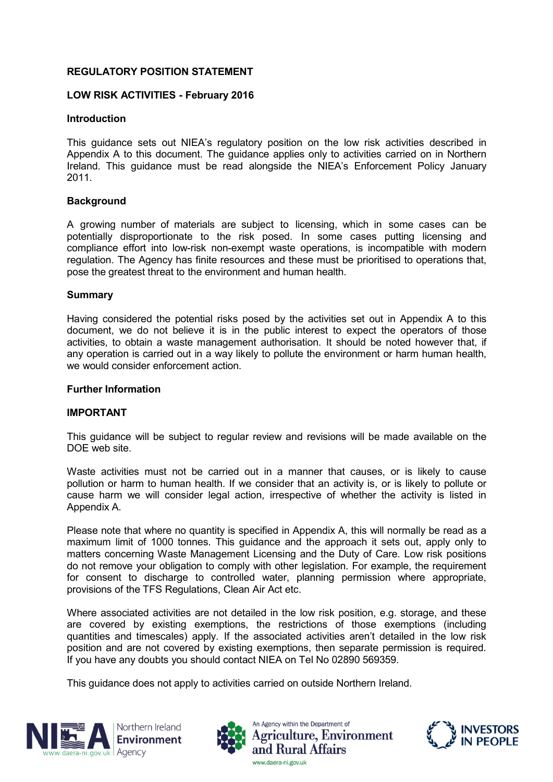# **REGULATORY POSITION STATEMENT**

## **LOW RISK ACTIVITIES - February 2016**

### **Introduction**

This guidance sets out NIEA's regulatory position on the low risk activities described in Appendix A to this document. The guidance applies only to activities carried on in Northern Ireland. This guidance must be read alongside the NIEA's Enforcement Policy January 2011.

### **Background**

A growing number of materials are subject to licensing, which in some cases can be potentially disproportionate to the risk posed. In some cases putting licensing and compliance effort into low-risk non-exempt waste operations, is incompatible with modern regulation. The Agency has finite resources and these must be prioritised to operations that, pose the greatest threat to the environment and human health.

#### **Summary**

Having considered the potential risks posed by the activities set out in Appendix A to this document, we do not believe it is in the public interest to expect the operators of those activities, to obtain a waste management authorisation. It should be noted however that, if any operation is carried out in a way likely to pollute the environment or harm human health, we would consider enforcement action.

#### **Further Information**

## **IMPORTANT**

This guidance will be subject to regular review and revisions will be made available on the DOE web site.

Waste activities must not be carried out in a manner that causes, or is likely to cause pollution or harm to human health. If we consider that an activity is, or is likely to pollute or cause harm we will consider legal action, irrespective of whether the activity is listed in Appendix A.

Please note that where no quantity is specified in Appendix A, this will normally be read as a maximum limit of 1000 tonnes. This guidance and the approach it sets out, apply only to matters concerning Waste Management Licensing and the Duty of Care. Low risk positions do not remove your obligation to comply with other legislation. For example, the requirement for consent to discharge to controlled water, planning permission where appropriate, provisions of the TFS Regulations, Clean Air Act etc.

Where associated activities are not detailed in the low risk position, e.g. storage, and these are covered by existing exemptions, the restrictions of those exemptions (including quantities and timescales) apply. If the associated activities aren't detailed in the low risk position and are not covered by existing exemptions, then separate permission is required. If you have any doubts you should contact NIEA on Tel No 02890 569359.

This guidance does not apply to activities carried on outside Northern Ireland.







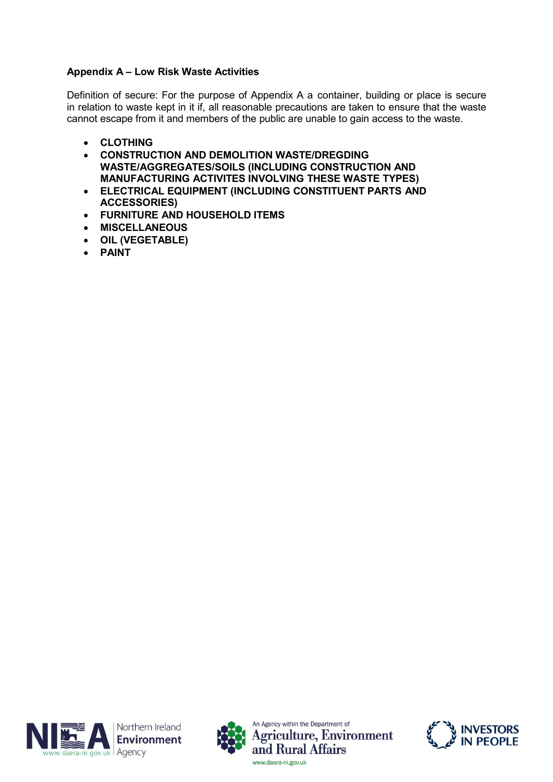# **Appendix A – Low Risk Waste Activities**

Definition of secure: For the purpose of Appendix A a container, building or place is secure in relation to waste kept in it if, all reasonable precautions are taken to ensure that the waste cannot escape from it and members of the public are unable to gain access to the waste.

- **CLOTHING**
- **CONSTRUCTION AND DEMOLITION WASTE/DREGDING WASTE/AGGREGATES/SOILS (INCLUDING CONSTRUCTION AND MANUFACTURING ACTIVITES INVOLVING THESE WASTE TYPES)**
- **ELECTRICAL EQUIPMENT (INCLUDING CONSTITUENT PARTS AND ACCESSORIES)**
- **FURNITURE AND HOUSEHOLD ITEMS**
- **MISCELLANEOUS**
- **OIL (VEGETABLE)**
- **PAINT**







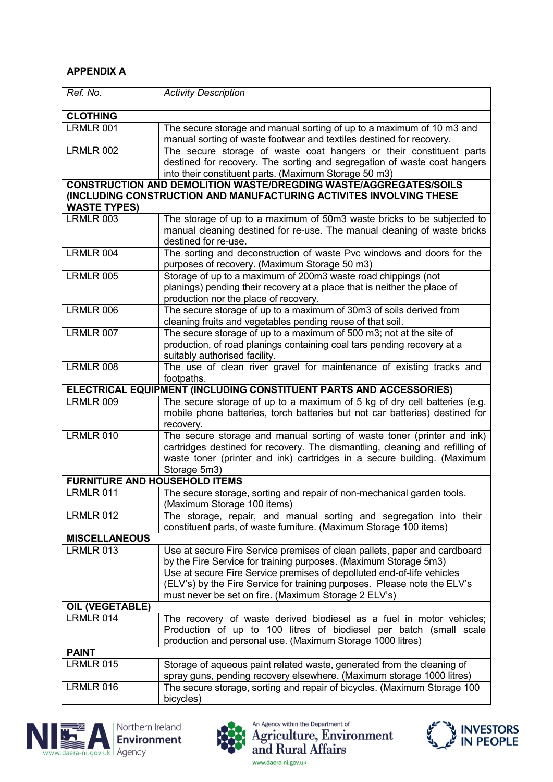# **APPENDIX A**

| Ref. No.                                                                 | <b>Activity Description</b>                                                                                                                             |
|--------------------------------------------------------------------------|---------------------------------------------------------------------------------------------------------------------------------------------------------|
|                                                                          |                                                                                                                                                         |
| <b>CLOTHING</b>                                                          |                                                                                                                                                         |
| LRMLR 001                                                                | The secure storage and manual sorting of up to a maximum of 10 m3 and                                                                                   |
| <b>LRMLR 002</b>                                                         | manual sorting of waste footwear and textiles destined for recovery.<br>The secure storage of waste coat hangers or their constituent parts             |
|                                                                          | destined for recovery. The sorting and segregation of waste coat hangers                                                                                |
|                                                                          | into their constituent parts. (Maximum Storage 50 m3)                                                                                                   |
| <b>CONSTRUCTION AND DEMOLITION WASTE/DREGDING WASTE/AGGREGATES/SOILS</b> |                                                                                                                                                         |
| (INCLUDING CONSTRUCTION AND MANUFACTURING ACTIVITES INVOLVING THESE      |                                                                                                                                                         |
| <b>WASTE TYPES)</b>                                                      |                                                                                                                                                         |
| LRMLR 003                                                                | The storage of up to a maximum of 50m3 waste bricks to be subjected to                                                                                  |
|                                                                          | manual cleaning destined for re-use. The manual cleaning of waste bricks                                                                                |
|                                                                          | destined for re-use.                                                                                                                                    |
| LRMLR 004                                                                | The sorting and deconstruction of waste Pvc windows and doors for the                                                                                   |
|                                                                          | purposes of recovery. (Maximum Storage 50 m3)                                                                                                           |
| <b>LRMLR 005</b>                                                         | Storage of up to a maximum of 200m3 waste road chippings (not                                                                                           |
|                                                                          | planings) pending their recovery at a place that is neither the place of<br>production nor the place of recovery.                                       |
| LRMLR 006                                                                | The secure storage of up to a maximum of 30m3 of soils derived from                                                                                     |
|                                                                          | cleaning fruits and vegetables pending reuse of that soil.                                                                                              |
| LRMLR 007                                                                | The secure storage of up to a maximum of 500 m3; not at the site of                                                                                     |
|                                                                          | production, of road planings containing coal tars pending recovery at a                                                                                 |
|                                                                          | suitably authorised facility.                                                                                                                           |
| LRMLR 008                                                                | The use of clean river gravel for maintenance of existing tracks and                                                                                    |
|                                                                          | footpaths.                                                                                                                                              |
| ELECTRICAL EQUIPMENT (INCLUDING CONSTITUENT PARTS AND ACCESSORIES)       |                                                                                                                                                         |
| LRMLR 009                                                                | The secure storage of up to a maximum of 5 kg of dry cell batteries (e.g.                                                                               |
|                                                                          | mobile phone batteries, torch batteries but not car batteries) destined for                                                                             |
|                                                                          | recovery.                                                                                                                                               |
| LRMLR 010                                                                | The secure storage and manual sorting of waste toner (printer and ink)                                                                                  |
|                                                                          | cartridges destined for recovery. The dismantling, cleaning and refilling of<br>waste toner (printer and ink) cartridges in a secure building. (Maximum |
|                                                                          | Storage 5m3)                                                                                                                                            |
| <b>FURNITURE AND HOUSEHOLD ITEMS</b>                                     |                                                                                                                                                         |
| LRMLR 011                                                                | The secure storage, sorting and repair of non-mechanical garden tools.                                                                                  |
|                                                                          | (Maximum Storage 100 items)                                                                                                                             |
| <b>LRMLR 012</b>                                                         | The storage, repair, and manual sorting and segregation into their                                                                                      |
|                                                                          | constituent parts, of waste furniture. (Maximum Storage 100 items)                                                                                      |
| <b>MISCELLANEOUS</b>                                                     |                                                                                                                                                         |
| LRMLR 013                                                                | Use at secure Fire Service premises of clean pallets, paper and cardboard                                                                               |
|                                                                          | by the Fire Service for training purposes. (Maximum Storage 5m3)                                                                                        |
|                                                                          | Use at secure Fire Service premises of depolluted end-of-life vehicles                                                                                  |
|                                                                          | (ELV's) by the Fire Service for training purposes. Please note the ELV's                                                                                |
|                                                                          | must never be set on fire. (Maximum Storage 2 ELV's)                                                                                                    |
| <b>OIL (VEGETABLE)</b><br>LRMLR 014                                      | The recovery of waste derived biodiesel as a fuel in motor vehicles;                                                                                    |
|                                                                          | Production of up to 100 litres of biodiesel per batch (small scale                                                                                      |
|                                                                          | production and personal use. (Maximum Storage 1000 litres)                                                                                              |
| <b>PAINT</b>                                                             |                                                                                                                                                         |
| <b>LRMLR 015</b>                                                         | Storage of aqueous paint related waste, generated from the cleaning of                                                                                  |
|                                                                          | spray guns, pending recovery elsewhere. (Maximum storage 1000 litres)                                                                                   |
| LRMLR 016                                                                | The secure storage, sorting and repair of bicycles. (Maximum Storage 100                                                                                |
|                                                                          | bicycles)                                                                                                                                               |